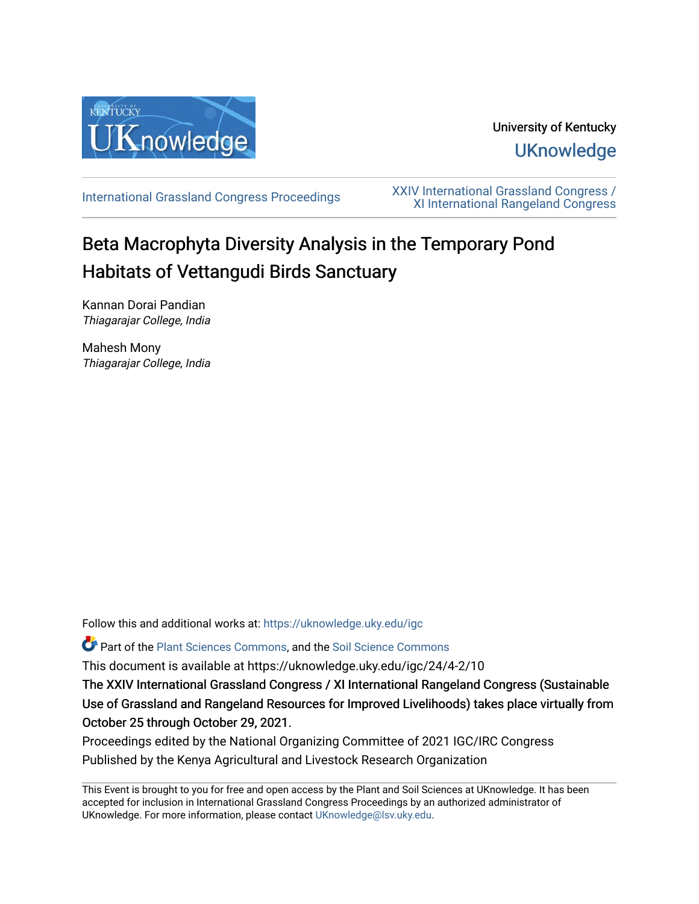

# University of Kentucky **UKnowledge**

[International Grassland Congress Proceedings](https://uknowledge.uky.edu/igc) [XXIV International Grassland Congress /](https://uknowledge.uky.edu/igc/24)  [XI International Rangeland Congress](https://uknowledge.uky.edu/igc/24) 

# Beta Macrophyta Diversity Analysis in the Temporary Pond Habitats of Vettangudi Birds Sanctuary

Kannan Dorai Pandian Thiagarajar College, India

Mahesh Mony Thiagarajar College, India

Follow this and additional works at: [https://uknowledge.uky.edu/igc](https://uknowledge.uky.edu/igc?utm_source=uknowledge.uky.edu%2Figc%2F24%2F4-2%2F10&utm_medium=PDF&utm_campaign=PDFCoverPages) 

Part of the [Plant Sciences Commons](http://network.bepress.com/hgg/discipline/102?utm_source=uknowledge.uky.edu%2Figc%2F24%2F4-2%2F10&utm_medium=PDF&utm_campaign=PDFCoverPages), and the [Soil Science Commons](http://network.bepress.com/hgg/discipline/163?utm_source=uknowledge.uky.edu%2Figc%2F24%2F4-2%2F10&utm_medium=PDF&utm_campaign=PDFCoverPages) 

This document is available at https://uknowledge.uky.edu/igc/24/4-2/10

The XXIV International Grassland Congress / XI International Rangeland Congress (Sustainable Use of Grassland and Rangeland Resources for Improved Livelihoods) takes place virtually from October 25 through October 29, 2021.

Proceedings edited by the National Organizing Committee of 2021 IGC/IRC Congress Published by the Kenya Agricultural and Livestock Research Organization

This Event is brought to you for free and open access by the Plant and Soil Sciences at UKnowledge. It has been accepted for inclusion in International Grassland Congress Proceedings by an authorized administrator of UKnowledge. For more information, please contact [UKnowledge@lsv.uky.edu](mailto:UKnowledge@lsv.uky.edu).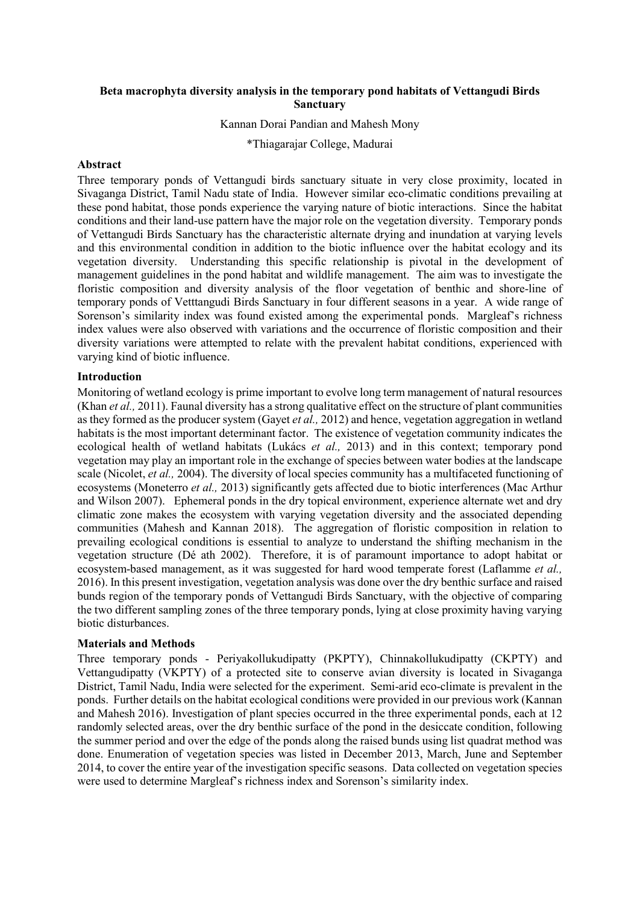# **Beta macrophyta diversity analysis in the temporary pond habitats of Vettangudi Birds Sanctuary**

# Kannan Dorai Pandian and Mahesh Mony

\*Thiagarajar College, Madurai

#### **Abstract**

Three temporary ponds of Vettangudi birds sanctuary situate in very close proximity, located in Sivaganga District, Tamil Nadu state of India. However similar eco-climatic conditions prevailing at these pond habitat, those ponds experience the varying nature of biotic interactions. Since the habitat conditions and their land-use pattern have the major role on the vegetation diversity. Temporary ponds of Vettangudi Birds Sanctuary has the characteristic alternate drying and inundation at varying levels and this environmental condition in addition to the biotic influence over the habitat ecology and its vegetation diversity. Understanding this specific relationship is pivotal in the development of management guidelines in the pond habitat and wildlife management. The aim was to investigate the floristic composition and diversity analysis of the floor vegetation of benthic and shore-line of temporary ponds of Vetttangudi Birds Sanctuary in four different seasons in a year. A wide range of Sorenson's similarity index was found existed among the experimental ponds. Margleaf's richness index values were also observed with variations and the occurrence of floristic composition and their diversity variations were attempted to relate with the prevalent habitat conditions, experienced with varying kind of biotic influence.

#### **Introduction**

Monitoring of wetland ecology is prime important to evolve long term management of natural resources (Khan *et al.,* 2011). Faunal diversity has a strong qualitative effect on the structure of plant communities as they formed as the producer system (Gayet *et al.,* 2012) and hence, vegetation aggregation in wetland habitats is the most important determinant factor. The existence of vegetation community indicates the ecological health of wetland habitats (Lukács *et al.,* 2013) and in this context; temporary pond vegetation may play an important role in the exchange of species between water bodies at the landscape scale (Nicolet, *et al.,* 2004). The diversity of local species community has a multifaceted functioning of ecosystems (Moneterro *et al.,* 2013) significantly gets affected due to biotic interferences (Mac Arthur and Wilson 2007). Ephemeral ponds in the dry topical environment, experience alternate wet and dry climatic zone makes the ecosystem with varying vegetation diversity and the associated depending communities (Mahesh and Kannan 2018). The aggregation of floristic composition in relation to prevailing ecological conditions is essential to analyze to understand the shifting mechanism in the vegetation structure (Dé ath 2002). Therefore, it is of paramount importance to adopt habitat or ecosystem-based management, as it was suggested for hard wood temperate forest (Laflamme *et al.,* 2016). In this present investigation, vegetation analysis was done over the dry benthic surface and raised bunds region of the temporary ponds of Vettangudi Birds Sanctuary, with the objective of comparing the two different sampling zones of the three temporary ponds, lying at close proximity having varying biotic disturbances.

#### **Materials and Methods**

Three temporary ponds - Periyakollukudipatty (PKPTY), Chinnakollukudipatty (CKPTY) and Vettangudipatty (VKPTY) of a protected site to conserve avian diversity is located in Sivaganga District, Tamil Nadu, India were selected for the experiment. Semi-arid eco-climate is prevalent in the ponds. Further details on the habitat ecological conditions were provided in our previous work (Kannan and Mahesh 2016). Investigation of plant species occurred in the three experimental ponds, each at 12 randomly selected areas, over the dry benthic surface of the pond in the desiccate condition, following the summer period and over the edge of the ponds along the raised bunds using list quadrat method was done. Enumeration of vegetation species was listed in December 2013, March, June and September 2014, to cover the entire year of the investigation specific seasons. Data collected on vegetation species were used to determine Margleaf's richness index and Sorenson's similarity index.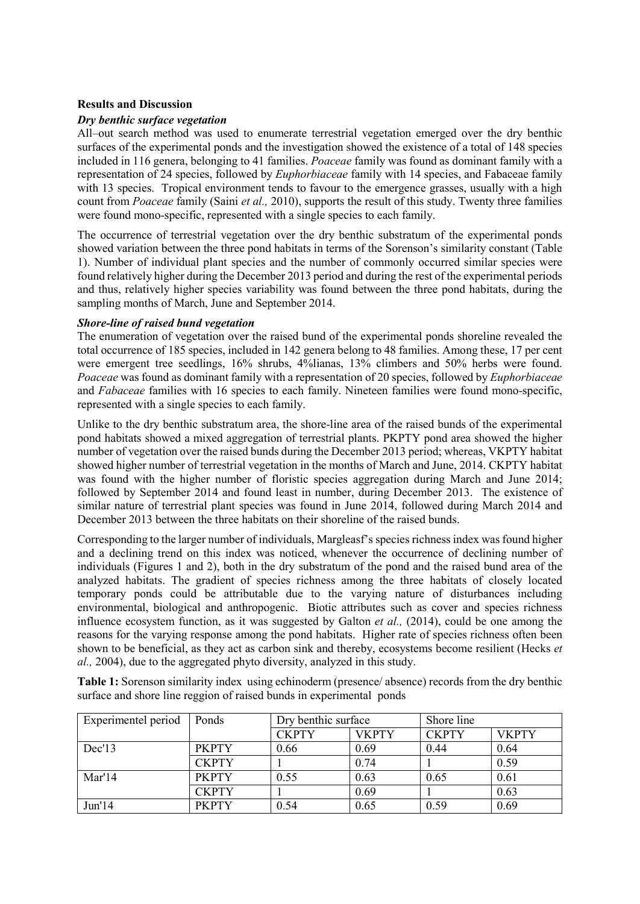# **Results and Discussion**

### *Dry benthic surface vegetation*

All–out search method was used to enumerate terrestrial vegetation emerged over the dry benthic surfaces of the experimental ponds and the investigation showed the existence of a total of 148 species included in 116 genera, belonging to 41 families. *Poaceae* family was found as dominant family with a representation of 24 species, followed by *Euphorbiaceae* family with 14 species, and Fabaceae family with 13 species. Tropical environment tends to favour to the emergence grasses, usually with a high count from *Poaceae* family (Saini *et al.,* 2010), supports the result of this study. Twenty three families were found mono-specific, represented with a single species to each family.

The occurrence of terrestrial vegetation over the dry benthic substratum of the experimental ponds showed variation between the three pond habitats in terms of the Sorenson's similarity constant (Table 1). Number of individual plant species and the number of commonly occurred similar species were found relatively higher during the December 2013 period and during the rest of the experimental periods and thus, relatively higher species variability was found between the three pond habitats, during the sampling months of March, June and September 2014.

### *Shore-line of raised bund vegetation*

The enumeration of vegetation over the raised bund of the experimental ponds shoreline revealed the total occurrence of 185 species, included in 142 genera belong to 48 families. Among these, 17 per cent were emergent tree seedlings, 16% shrubs, 4%lianas, 13% climbers and 50% herbs were found. *Poaceae* was found as dominant family with a representation of 20 species, followed by *Euphorbiaceae*  and *Fabaceae* families with 16 species to each family. Nineteen families were found mono-specific, represented with a single species to each family.

Unlike to the dry benthic substratum area, the shore-line area of the raised bunds of the experimental pond habitats showed a mixed aggregation of terrestrial plants. PKPTY pond area showed the higher number of vegetation over the raised bunds during the December 2013 period; whereas, VKPTY habitat showed higher number of terrestrial vegetation in the months of March and June, 2014. CKPTY habitat was found with the higher number of floristic species aggregation during March and June 2014; followed by September 2014 and found least in number, during December 2013. The existence of similar nature of terrestrial plant species was found in June 2014, followed during March 2014 and December 2013 between the three habitats on their shoreline of the raised bunds.

Corresponding to the larger number of individuals, Margleasf's species richness index was found higher and a declining trend on this index was noticed, whenever the occurrence of declining number of individuals (Figures 1 and 2), both in the dry substratum of the pond and the raised bund area of the analyzed habitats. The gradient of species richness among the three habitats of closely located temporary ponds could be attributable due to the varying nature of disturbances including environmental, biological and anthropogenic. Biotic attributes such as cover and species richness influence ecosystem function, as it was suggested by Galton *et al.,* (2014), could be one among the reasons for the varying response among the pond habitats. Higher rate of species richness often been shown to be beneficial, as they act as carbon sink and thereby, ecosystems become resilient (Hecks *et al.,* 2004), due to the aggregated phyto diversity, analyzed in this study.

**Table 1:** Sorenson similarity index using echinoderm (presence/ absence) records from the dry benthic surface and shore line reggion of raised bunds in experimental ponds

| Experimentel period | Ponds        | Dry benthic surface |              | Shore line   |              |
|---------------------|--------------|---------------------|--------------|--------------|--------------|
|                     |              | <b>CKPTY</b>        | <b>VKPTY</b> | <b>CKPTY</b> | <b>VKPTY</b> |
| Dec'13              | <b>PKPTY</b> | 0.66                | 0.69         | 0.44         | 0.64         |
|                     | <b>CKPTY</b> |                     | 0.74         |              | 0.59         |
| Mar'14              | <b>PKPTY</b> | 0.55                | 0.63         | 0.65         | 0.61         |
|                     | <b>CKPTY</b> |                     | 0.69         |              | 0.63         |
| Jun'14              | <b>PKPTY</b> | 0.54                | 0.65         | 0.59         | 0.69         |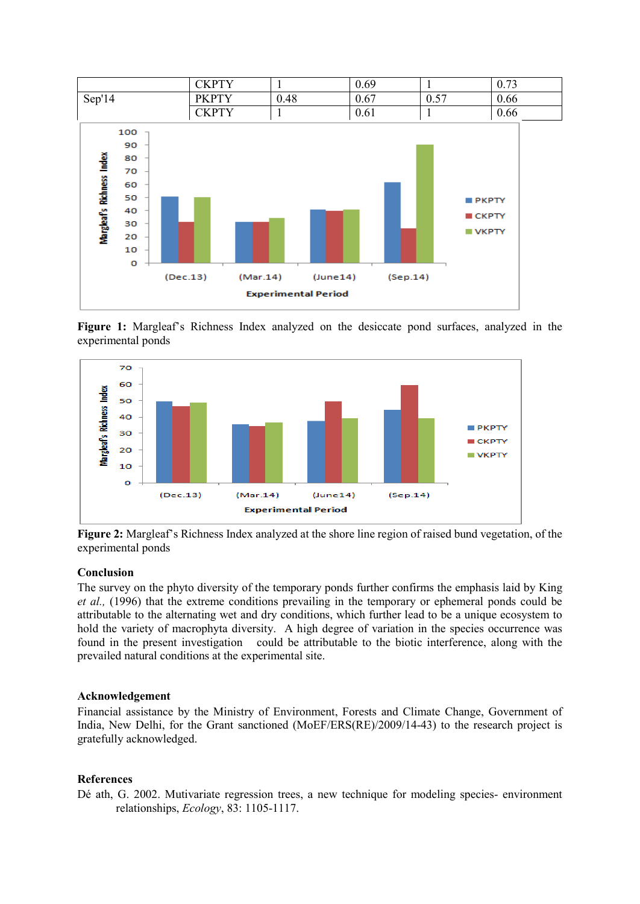

**Figure 1:** Margleaf's Richness Index analyzed on the desiccate pond surfaces, analyzed in the experimental ponds



**Figure 2:** Margleaf's Richness Index analyzed at the shore line region of raised bund vegetation, of the experimental ponds

# **Conclusion**

The survey on the phyto diversity of the temporary ponds further confirms the emphasis laid by King *et al.,* (1996) that the extreme conditions prevailing in the temporary or ephemeral ponds could be attributable to the alternating wet and dry conditions, which further lead to be a unique ecosystem to hold the variety of macrophyta diversity. A high degree of variation in the species occurrence was found in the present investigation could be attributable to the biotic interference, along with the prevailed natural conditions at the experimental site.

#### **Acknowledgement**

Financial assistance by the Ministry of Environment, Forests and Climate Change, Government of India, New Delhi, for the Grant sanctioned (MoEF/ERS(RE)/2009/14-43) to the research project is gratefully acknowledged.

## **References**

Dé ath, G. 2002. Mutivariate regression trees, a new technique for modeling species- environment relationships, *Ecology*, 83: 1105-1117.